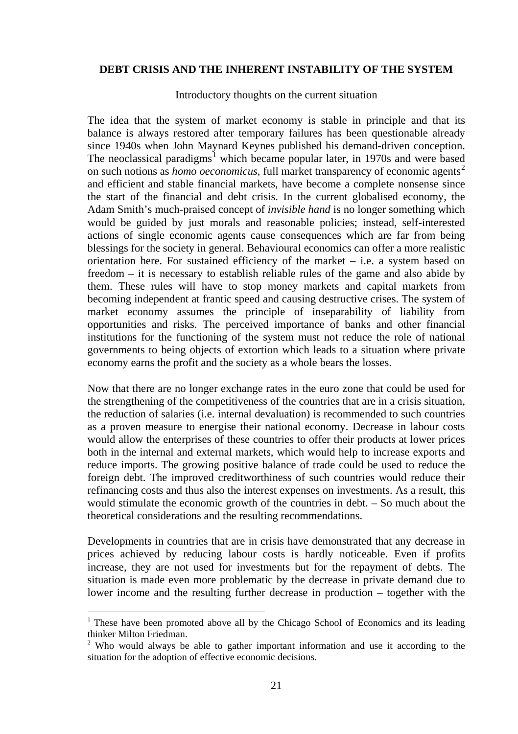## **DEBT CRISIS AND THE INHERENT INSTABILITY OF THE SYSTEM**

## Introductory thoughts on the current situation

The idea that the system of market economy is stable in principle and that its balance is always restored after temporary failures has been questionable already since 1940s when John Maynard Keynes published his demand-driven conception. The neoclassical paradigms<sup>[1](#page-0-0)</sup> which became popular later, in 1970s and were based on such notions as *homo oeconomicus*, full market transparency of economic agents<sup>[2](#page-0-1)</sup> and efficient and stable financial markets, have become a complete nonsense since the start of the financial and debt crisis. In the current globalised economy, the Adam Smith's much-praised concept of *invisible hand* is no longer something which would be guided by just morals and reasonable policies; instead, self-interested actions of single economic agents cause consequences which are far from being blessings for the society in general. Behavioural economics can offer a more realistic orientation here. For sustained efficiency of the market  $-$  i.e. a system based on freedom – it is necessary to establish reliable rules of the game and also abide by them. These rules will have to stop money markets and capital markets from becoming independent at frantic speed and causing destructive crises. The system of market economy assumes the principle of inseparability of liability from opportunities and risks. The perceived importance of banks and other financial institutions for the functioning of the system must not reduce the role of national governments to being objects of extortion which leads to a situation where private economy earns the profit and the society as a whole bears the losses.

Now that there are no longer exchange rates in the euro zone that could be used for the strengthening of the competitiveness of the countries that are in a crisis situation, the reduction of salaries (i.e. internal devaluation) is recommended to such countries as a proven measure to energise their national economy. Decrease in labour costs would allow the enterprises of these countries to offer their products at lower prices both in the internal and external markets, which would help to increase exports and reduce imports. The growing positive balance of trade could be used to reduce the foreign debt. The improved creditworthiness of such countries would reduce their refinancing costs and thus also the interest expenses on investments. As a result, this would stimulate the economic growth of the countries in debt. – So much about the theoretical considerations and the resulting recommendations.

Developments in countries that are in crisis have demonstrated that any decrease in prices achieved by reducing labour costs is hardly noticeable. Even if profits increase, they are not used for investments but for the repayment of debts. The situation is made even more problematic by the decrease in private demand due to lower income and the resulting further decrease in production – together with the

1

<span id="page-0-0"></span> $<sup>1</sup>$  These have been promoted above all by the Chicago School of Economics and its leading</sup> thinker Milton Friedman.

<span id="page-0-1"></span> $2^2$  Who would always be able to gather important information and use it according to the situation for the adoption of effective economic decisions.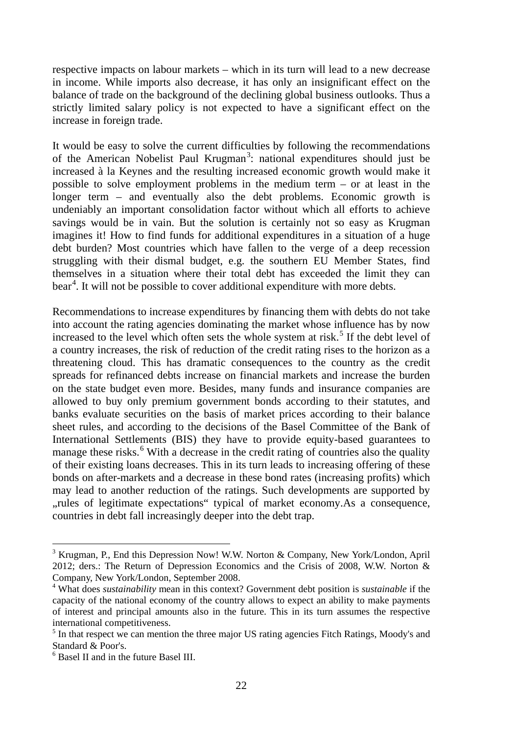respective impacts on labour markets – which in its turn will lead to a new decrease in income. While imports also decrease, it has only an insignificant effect on the balance of trade on the background of the declining global business outlooks. Thus a strictly limited salary policy is not expected to have a significant effect on the increase in foreign trade.

It would be easy to solve the current difficulties by following the recommendations of the American Nobelist Paul Krugman<sup>[3](#page-1-0)</sup>: national expenditures should just be increased à la Keynes and the resulting increased economic growth would make it possible to solve employment problems in the medium term – or at least in the longer term – and eventually also the debt problems. Economic growth is undeniably an important consolidation factor without which all efforts to achieve savings would be in vain. But the solution is certainly not so easy as Krugman imagines it! How to find funds for additional expenditures in a situation of a huge debt burden? Most countries which have fallen to the verge of a deep recession struggling with their dismal budget, e.g. the southern EU Member States, find themselves in a situation where their total debt has exceeded the limit they can bear<sup>[4](#page-1-1)</sup>. It will not be possible to cover additional expenditure with more debts.

Recommendations to increase expenditures by financing them with debts do not take into account the rating agencies dominating the market whose influence has by now increased to the level which often sets the whole system at risk.<sup>[5](#page-1-2)</sup> If the debt level of a country increases, the risk of reduction of the credit rating rises to the horizon as a threatening cloud. This has dramatic consequences to the country as the credit spreads for refinanced debts increase on financial markets and increase the burden on the state budget even more. Besides, many funds and insurance companies are allowed to buy only premium government bonds according to their statutes, and banks evaluate securities on the basis of market prices according to their balance sheet rules, and according to the decisions of the Basel Committee of the Bank of International Settlements (BIS) they have to provide equity-based guarantees to manage these risks.<sup>[6](#page-1-3)</sup> With a decrease in the credit rating of countries also the quality of their existing loans decreases. This in its turn leads to increasing offering of these bonds on after-markets and a decrease in these bond rates (increasing profits) which may lead to another reduction of the ratings. Such developments are supported by "rules of legitimate expectations" typical of market economy.As a consequence, countries in debt fall increasingly deeper into the debt trap.

j

<span id="page-1-0"></span><sup>3</sup> Krugman, P., End this Depression Now! W.W. Norton & Company, New York/London, April 2012; ders.: The Return of Depression Economics and the Crisis of 2008, W.W. Norton & Company, New York/London, September 2008.

<span id="page-1-1"></span><sup>4</sup> What does *sustainability* mean in this context? Government debt position is *sustainable* if the capacity of the national economy of the country allows to expect an ability to make payments of interest and principal amounts also in the future. This in its turn assumes the respective international competitiveness.

<span id="page-1-2"></span><sup>&</sup>lt;sup>5</sup> In that respect we can mention the three major US rating agencies Fitch Ratings, Moody's and Standard & Poor's.

<span id="page-1-3"></span><sup>6</sup> Basel II and in the future Basel III.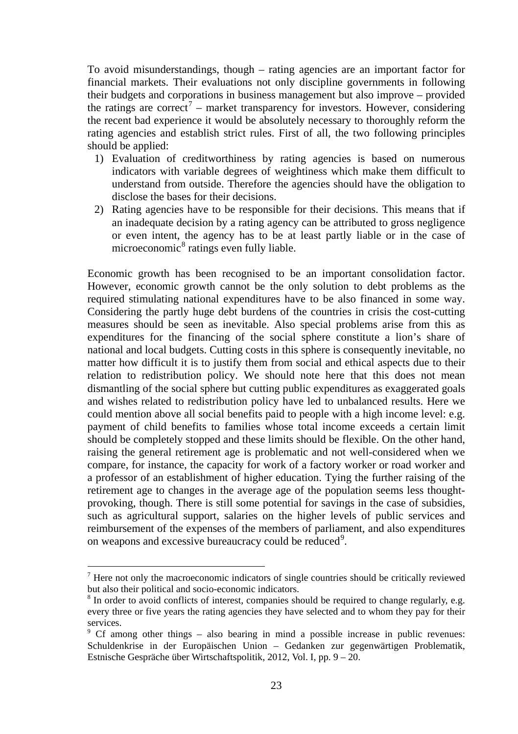To avoid misunderstandings, though – rating agencies are an important factor for financial markets. Their evaluations not only discipline governments in following their budgets and corporations in business management but also improve – provided the ratings are correct<sup>[7](#page-2-0)</sup> – market transparency for investors. However, considering the recent bad experience it would be absolutely necessary to thoroughly reform the rating agencies and establish strict rules. First of all, the two following principles should be applied:

- 1) Evaluation of creditworthiness by rating agencies is based on numerous indicators with variable degrees of weightiness which make them difficult to understand from outside. Therefore the agencies should have the obligation to disclose the bases for their decisions.
- 2) Rating agencies have to be responsible for their decisions. This means that if an inadequate decision by a rating agency can be attributed to gross negligence or even intent, the agency has to be at least partly liable or in the case of microeconomic<sup>[8](#page-2-1)</sup> ratings even fully liable.

Economic growth has been recognised to be an important consolidation factor. However, economic growth cannot be the only solution to debt problems as the required stimulating national expenditures have to be also financed in some way. Considering the partly huge debt burdens of the countries in crisis the cost-cutting measures should be seen as inevitable. Also special problems arise from this as expenditures for the financing of the social sphere constitute a lion's share of national and local budgets. Cutting costs in this sphere is consequently inevitable, no matter how difficult it is to justify them from social and ethical aspects due to their relation to redistribution policy. We should note here that this does not mean dismantling of the social sphere but cutting public expenditures as exaggerated goals and wishes related to redistribution policy have led to unbalanced results. Here we could mention above all social benefits paid to people with a high income level: e.g. payment of child benefits to families whose total income exceeds a certain limit should be completely stopped and these limits should be flexible. On the other hand, raising the general retirement age is problematic and not well-considered when we compare, for instance, the capacity for work of a factory worker or road worker and a professor of an establishment of higher education. Tying the further raising of the retirement age to changes in the average age of the population seems less thoughtprovoking, though. There is still some potential for savings in the case of subsidies, such as agricultural support, salaries on the higher levels of public services and reimbursement of the expenses of the members of parliament, and also expenditures on weapons and excessive bureaucracy could be reduced<sup>[9](#page-2-2)</sup>.

1

<span id="page-2-0"></span> $<sup>7</sup>$  Here not only the macroeconomic indicators of single countries should be critically reviewed</sup> but also their political and socio-economic indicators.

<span id="page-2-1"></span><sup>&</sup>lt;sup>8</sup> In order to avoid conflicts of interest, companies should be required to change regularly, e.g. every three or five years the rating agencies they have selected and to whom they pay for their services.

<span id="page-2-2"></span><sup>&</sup>lt;sup>9</sup> Cf among other things – also bearing in mind a possible increase in public revenues: Schuldenkrise in der Europäischen Union – Gedanken zur gegenwärtigen Problematik, Estnische Gespräche über Wirtschaftspolitik, 2012, Vol. I, pp. 9 – 20.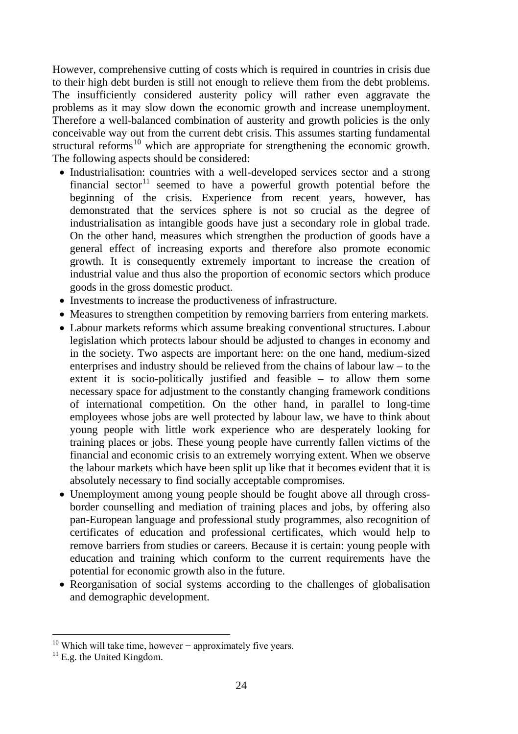However, comprehensive cutting of costs which is required in countries in crisis due to their high debt burden is still not enough to relieve them from the debt problems. The insufficiently considered austerity policy will rather even aggravate the problems as it may slow down the economic growth and increase unemployment. Therefore a well-balanced combination of austerity and growth policies is the only conceivable way out from the current debt crisis. This assumes starting fundamental structural reforms<sup>[10](#page-3-0)</sup> which are appropriate for strengthening the economic growth. The following aspects should be considered:

- Industrialisation: countries with a well-developed services sector and a strong financial sector<sup>[11](#page-3-1)</sup> seemed to have a powerful growth potential before the beginning of the crisis. Experience from recent years, however, has demonstrated that the services sphere is not so crucial as the degree of industrialisation as intangible goods have just a secondary role in global trade. On the other hand, measures which strengthen the production of goods have a general effect of increasing exports and therefore also promote economic growth. It is consequently extremely important to increase the creation of industrial value and thus also the proportion of economic sectors which produce goods in the gross domestic product.
- Investments to increase the productiveness of infrastructure.
- Measures to strengthen competition by removing barriers from entering markets.
- Labour markets reforms which assume breaking conventional structures. Labour legislation which protects labour should be adjusted to changes in economy and in the society. Two aspects are important here: on the one hand, medium-sized enterprises and industry should be relieved from the chains of labour law – to the extent it is socio-politically justified and feasible – to allow them some necessary space for adjustment to the constantly changing framework conditions of international competition. On the other hand, in parallel to long-time employees whose jobs are well protected by labour law, we have to think about young people with little work experience who are desperately looking for training places or jobs. These young people have currently fallen victims of the financial and economic crisis to an extremely worrying extent. When we observe the labour markets which have been split up like that it becomes evident that it is absolutely necessary to find socially acceptable compromises.
- Unemployment among young people should be fought above all through crossborder counselling and mediation of training places and jobs, by offering also pan-European language and professional study programmes, also recognition of certificates of education and professional certificates, which would help to remove barriers from studies or careers. Because it is certain: young people with education and training which conform to the current requirements have the potential for economic growth also in the future.
- Reorganisation of social systems according to the challenges of globalisation and demographic development.

j

<span id="page-3-0"></span><sup>&</sup>lt;sup>10</sup> Which will take time, however – approximately five years.

<span id="page-3-1"></span> $11$  E.g. the United Kingdom.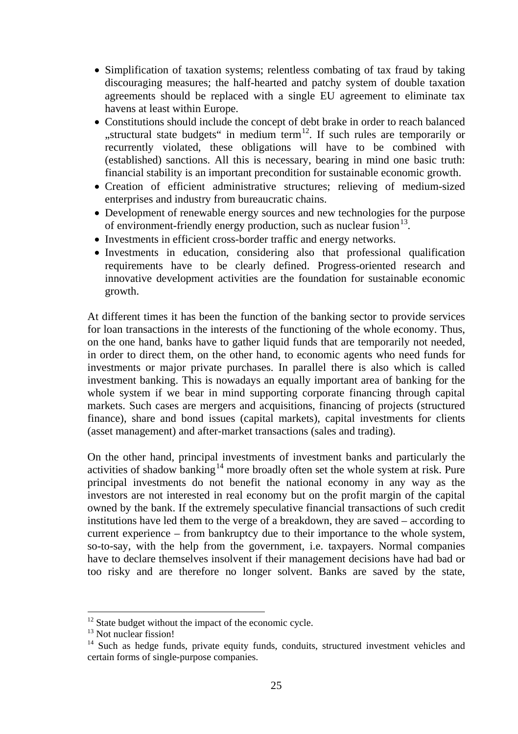- Simplification of taxation systems; relentless combating of tax fraud by taking discouraging measures; the half-hearted and patchy system of double taxation agreements should be replaced with a single EU agreement to eliminate tax havens at least within Europe.
- Constitutions should include the concept of debt brake in order to reach balanced "structural state budgets" in medium term<sup>12</sup>. If such rules are temporarily or recurrently violated, these obligations will have to be combined with (established) sanctions. All this is necessary, bearing in mind one basic truth: financial stability is an important precondition for sustainable economic growth.
- Creation of efficient administrative structures; relieving of medium-sized enterprises and industry from bureaucratic chains.
- Development of renewable energy sources and new technologies for the purpose of environment-friendly energy production, such as nuclear fusion $13$ .
- Investments in efficient cross-border traffic and energy networks.
- Investments in education, considering also that professional qualification requirements have to be clearly defined. Progress-oriented research and innovative development activities are the foundation for sustainable economic growth.

At different times it has been the function of the banking sector to provide services for loan transactions in the interests of the functioning of the whole economy. Thus, on the one hand, banks have to gather liquid funds that are temporarily not needed, in order to direct them, on the other hand, to economic agents who need funds for investments or major private purchases. In parallel there is also which is called investment banking. This is nowadays an equally important area of banking for the whole system if we bear in mind supporting corporate financing through capital markets. Such cases are mergers and acquisitions, financing of projects (structured finance), share and bond issues (capital markets), capital investments for clients (asset management) and after-market transactions (sales and trading).

On the other hand, principal investments of investment banks and particularly the activities of shadow banking<sup>[14](#page-4-2)</sup> more broadly often set the whole system at risk. Pure principal investments do not benefit the national economy in any way as the investors are not interested in real economy but on the profit margin of the capital owned by the bank. If the extremely speculative financial transactions of such credit institutions have led them to the verge of a breakdown, they are saved – according to current experience – from bankruptcy due to their importance to the whole system, so-to-say, with the help from the government, i.e. taxpayers. Normal companies have to declare themselves insolvent if their management decisions have had bad or too risky and are therefore no longer solvent. Banks are saved by the state,

1

<span id="page-4-0"></span><sup>&</sup>lt;sup>12</sup> State budget without the impact of the economic cycle.

<sup>&</sup>lt;sup>13</sup> Not nuclear fission!

<span id="page-4-2"></span><span id="page-4-1"></span><sup>&</sup>lt;sup>14</sup> Such as hedge funds, private equity funds, conduits, structured investment vehicles and certain forms of single-purpose companies.